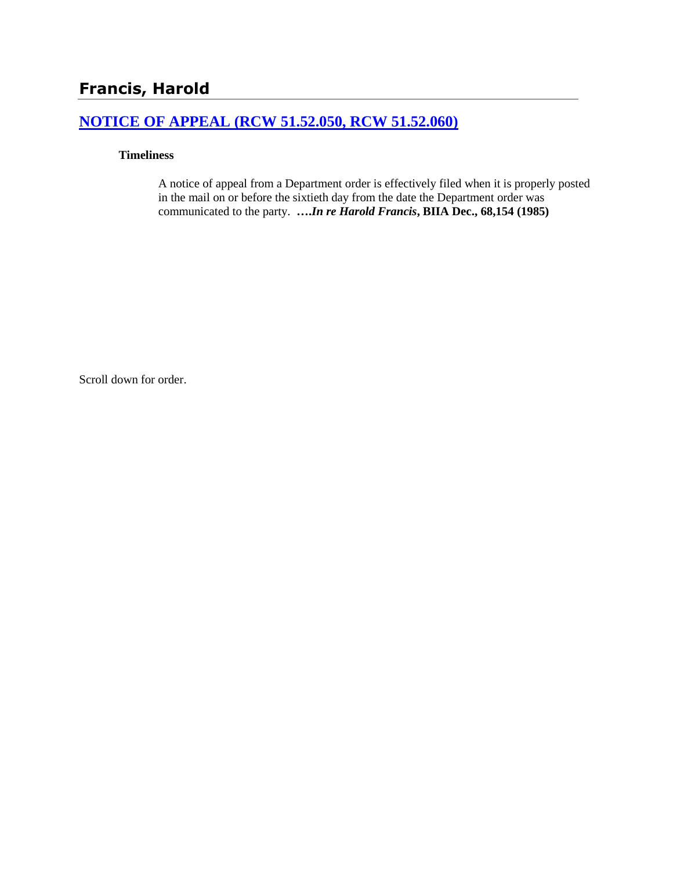# **Francis, Harold**

# **[NOTICE OF APPEAL \(RCW 51.52.050, RCW 51.52.060\)](http://www.biia.wa.gov/SDSubjectIndex.html#NOTICE_OF_APPEAL)**

#### **Timeliness**

A notice of appeal from a Department order is effectively filed when it is properly posted in the mail on or before the sixtieth day from the date the Department order was communicated to the party. **….***In re Harold Francis***, BIIA Dec., 68,154 (1985)** 

Scroll down for order.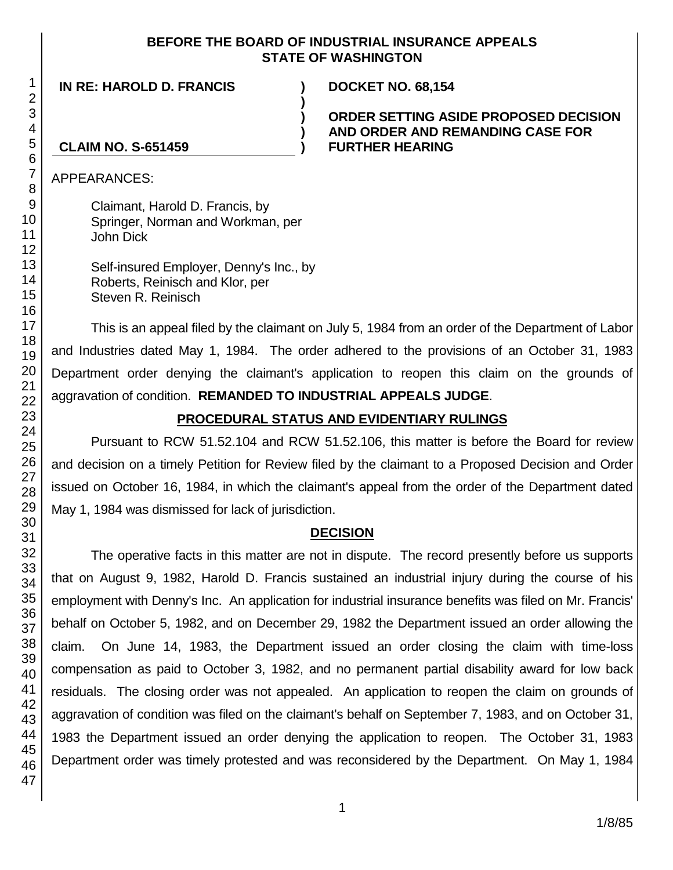#### **BEFORE THE BOARD OF INDUSTRIAL INSURANCE APPEALS STATE OF WASHINGTON**

**) ) )**

**IN RE: HAROLD D. FRANCIS ) DOCKET NO. 68,154**

### **ORDER SETTING ASIDE PROPOSED DECISION AND ORDER AND REMANDING CASE FOR CLAIM NO. S-651459 ) FURTHER HEARING**

APPEARANCES:

Claimant, Harold D. Francis, by Springer, Norman and Workman, per John Dick

Self-insured Employer, Denny's Inc., by Roberts, Reinisch and Klor, per Steven R. Reinisch

This is an appeal filed by the claimant on July 5, 1984 from an order of the Department of Labor and Industries dated May 1, 1984. The order adhered to the provisions of an October 31, 1983 Department order denying the claimant's application to reopen this claim on the grounds of aggravation of condition. **REMANDED TO INDUSTRIAL APPEALS JUDGE**.

# **PROCEDURAL STATUS AND EVIDENTIARY RULINGS**

Pursuant to RCW 51.52.104 and RCW 51.52.106, this matter is before the Board for review and decision on a timely Petition for Review filed by the claimant to a Proposed Decision and Order issued on October 16, 1984, in which the claimant's appeal from the order of the Department dated May 1, 1984 was dismissed for lack of jurisdiction.

## **DECISION**

The operative facts in this matter are not in dispute. The record presently before us supports that on August 9, 1982, Harold D. Francis sustained an industrial injury during the course of his employment with Denny's Inc. An application for industrial insurance benefits was filed on Mr. Francis' behalf on October 5, 1982, and on December 29, 1982 the Department issued an order allowing the claim. On June 14, 1983, the Department issued an order closing the claim with time-loss compensation as paid to October 3, 1982, and no permanent partial disability award for low back residuals. The closing order was not appealed. An application to reopen the claim on grounds of aggravation of condition was filed on the claimant's behalf on September 7, 1983, and on October 31, 1983 the Department issued an order denying the application to reopen. The October 31, 1983 Department order was timely protested and was reconsidered by the Department. On May 1, 1984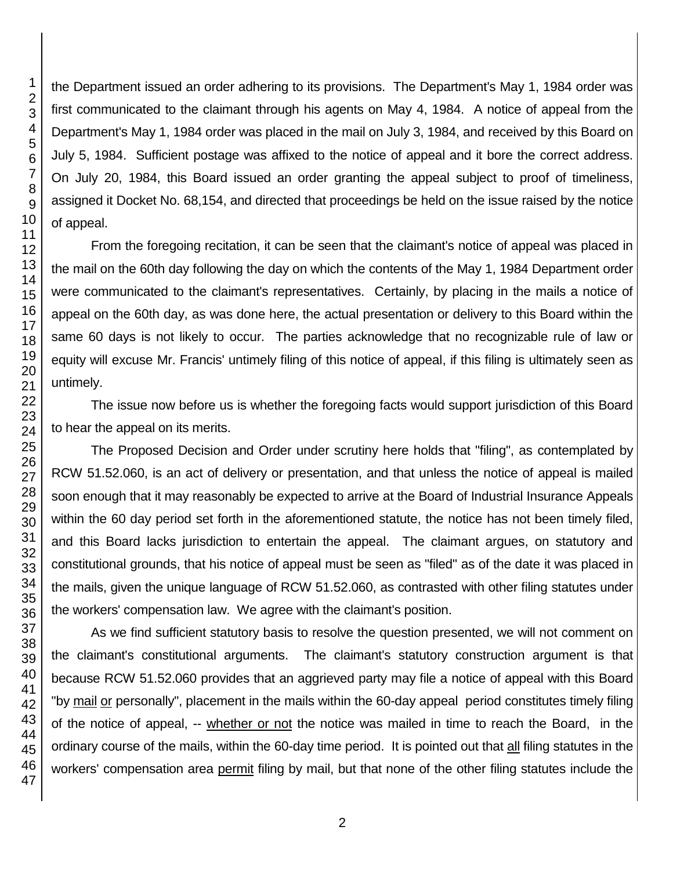the Department issued an order adhering to its provisions. The Department's May 1, 1984 order was first communicated to the claimant through his agents on May 4, 1984. A notice of appeal from the Department's May 1, 1984 order was placed in the mail on July 3, 1984, and received by this Board on July 5, 1984. Sufficient postage was affixed to the notice of appeal and it bore the correct address. On July 20, 1984, this Board issued an order granting the appeal subject to proof of timeliness, assigned it Docket No. 68,154, and directed that proceedings be held on the issue raised by the notice of appeal.

From the foregoing recitation, it can be seen that the claimant's notice of appeal was placed in the mail on the 60th day following the day on which the contents of the May 1, 1984 Department order were communicated to the claimant's representatives. Certainly, by placing in the mails a notice of appeal on the 60th day, as was done here, the actual presentation or delivery to this Board within the same 60 days is not likely to occur. The parties acknowledge that no recognizable rule of law or equity will excuse Mr. Francis' untimely filing of this notice of appeal, if this filing is ultimately seen as untimely.

The issue now before us is whether the foregoing facts would support jurisdiction of this Board to hear the appeal on its merits.

The Proposed Decision and Order under scrutiny here holds that "filing", as contemplated by RCW 51.52.060, is an act of delivery or presentation, and that unless the notice of appeal is mailed soon enough that it may reasonably be expected to arrive at the Board of Industrial Insurance Appeals within the 60 day period set forth in the aforementioned statute, the notice has not been timely filed, and this Board lacks jurisdiction to entertain the appeal. The claimant argues, on statutory and constitutional grounds, that his notice of appeal must be seen as "filed" as of the date it was placed in the mails, given the unique language of RCW 51.52.060, as contrasted with other filing statutes under the workers' compensation law. We agree with the claimant's position.

As we find sufficient statutory basis to resolve the question presented, we will not comment on the claimant's constitutional arguments. The claimant's statutory construction argument is that because RCW 51.52.060 provides that an aggrieved party may file a notice of appeal with this Board "by mail or personally", placement in the mails within the 60-day appeal period constitutes timely filing of the notice of appeal, -- whether or not the notice was mailed in time to reach the Board, in the ordinary course of the mails, within the 60-day time period. It is pointed out that all filing statutes in the workers' compensation area permit filing by mail, but that none of the other filing statutes include the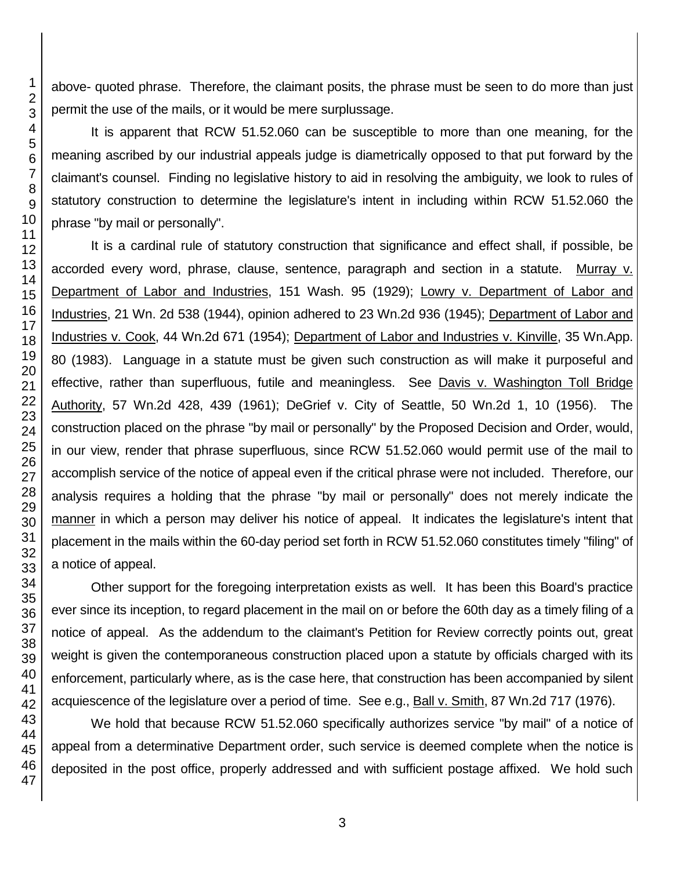above- quoted phrase. Therefore, the claimant posits, the phrase must be seen to do more than just permit the use of the mails, or it would be mere surplussage.

It is apparent that RCW 51.52.060 can be susceptible to more than one meaning, for the meaning ascribed by our industrial appeals judge is diametrically opposed to that put forward by the claimant's counsel. Finding no legislative history to aid in resolving the ambiguity, we look to rules of statutory construction to determine the legislature's intent in including within RCW 51.52.060 the phrase "by mail or personally".

It is a cardinal rule of statutory construction that significance and effect shall, if possible, be accorded every word, phrase, clause, sentence, paragraph and section in a statute. Murray v. Department of Labor and Industries, 151 Wash. 95 (1929); Lowry v. Department of Labor and Industries, 21 Wn. 2d 538 (1944), opinion adhered to 23 Wn.2d 936 (1945); Department of Labor and Industries v. Cook, 44 Wn.2d 671 (1954); Department of Labor and Industries v. Kinville, 35 Wn.App. 80 (1983). Language in a statute must be given such construction as will make it purposeful and effective, rather than superfluous, futile and meaningless. See Davis v. Washington Toll Bridge Authority, 57 Wn.2d 428, 439 (1961); DeGrief v. City of Seattle, 50 Wn.2d 1, 10 (1956). The construction placed on the phrase "by mail or personally" by the Proposed Decision and Order, would, in our view, render that phrase superfluous, since RCW 51.52.060 would permit use of the mail to accomplish service of the notice of appeal even if the critical phrase were not included. Therefore, our analysis requires a holding that the phrase "by mail or personally" does not merely indicate the manner in which a person may deliver his notice of appeal. It indicates the legislature's intent that placement in the mails within the 60-day period set forth in RCW 51.52.060 constitutes timely "filing" of a notice of appeal.

Other support for the foregoing interpretation exists as well. It has been this Board's practice ever since its inception, to regard placement in the mail on or before the 60th day as a timely filing of a notice of appeal. As the addendum to the claimant's Petition for Review correctly points out, great weight is given the contemporaneous construction placed upon a statute by officials charged with its enforcement, particularly where, as is the case here, that construction has been accompanied by silent acquiescence of the legislature over a period of time. See e.g., Ball v. Smith, 87 Wn.2d 717 (1976).

We hold that because RCW 51.52.060 specifically authorizes service "by mail" of a notice of appeal from a determinative Department order, such service is deemed complete when the notice is deposited in the post office, properly addressed and with sufficient postage affixed. We hold such